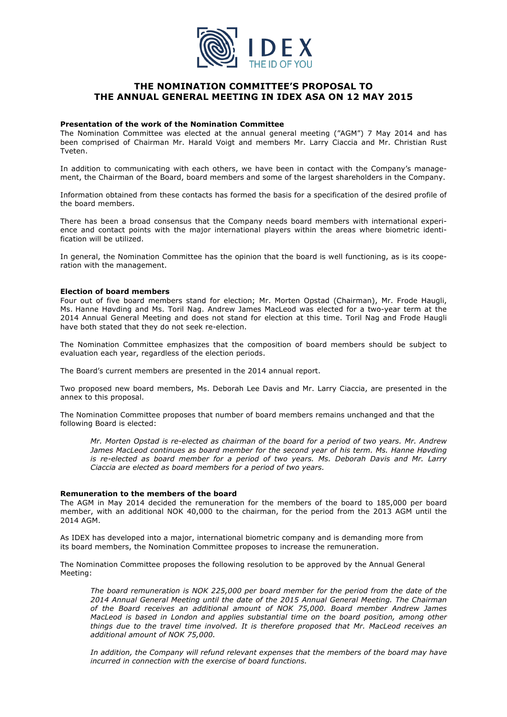

# **THE NOMINATION COMMITTEE'S PROPOSAL TO THE ANNUAL GENERAL MEETING IN IDEX ASA ON 12 MAY 2015**

## **Presentation of the work of the Nomination Committee**

The Nomination Committee was elected at the annual general meeting ("AGM") 7 May 2014 and has been comprised of Chairman Mr. Harald Voigt and members Mr. Larry Ciaccia and Mr. Christian Rust Tveten.

In addition to communicating with each others, we have been in contact with the Company's management, the Chairman of the Board, board members and some of the largest shareholders in the Company.

Information obtained from these contacts has formed the basis for a specification of the desired profile of the board members.

There has been a broad consensus that the Company needs board members with international experience and contact points with the major international players within the areas where biometric identification will be utilized.

In general, the Nomination Committee has the opinion that the board is well functioning, as is its cooperation with the management.

## **Election of board members**

Four out of five board members stand for election; Mr. Morten Opstad (Chairman), Mr. Frode Haugli, Ms. Hanne Høvding and Ms. Toril Nag. Andrew James MacLeod was elected for a two-year term at the 2014 Annual General Meeting and does not stand for election at this time. Toril Nag and Frode Haugli have both stated that they do not seek re-election.

The Nomination Committee emphasizes that the composition of board members should be subject to evaluation each year, regardless of the election periods.

The Board's current members are presented in the 2014 annual report.

Two proposed new board members, Ms. Deborah Lee Davis and Mr. Larry Ciaccia, are presented in the annex to this proposal.

The Nomination Committee proposes that number of board members remains unchanged and that the following Board is elected:

*Mr. Morten Opstad is re-elected as chairman of the board for a period of two years. Mr. Andrew*  James MacLeod continues as board member for the second year of his term. Ms. Hanne Høvding *is re-elected as board member for a period of two years. Ms. Deborah Davis and Mr. Larry Ciaccia are elected as board members for a period of two years.*

#### **Remuneration to the members of the board**

The AGM in May 2014 decided the remuneration for the members of the board to 185,000 per board member, with an additional NOK 40,000 to the chairman, for the period from the 2013 AGM until the 2014 AGM.

As IDEX has developed into a major, international biometric company and is demanding more from its board members, the Nomination Committee proposes to increase the remuneration.

The Nomination Committee proposes the following resolution to be approved by the Annual General Meeting:

*The board remuneration is NOK 225,000 per board member for the period from the date of the 2014 Annual General Meeting until the date of the 2015 Annual General Meeting. The Chairman of the Board receives an additional amount of NOK 75,000. Board member Andrew James MacLeod is based in London and applies substantial time on the board position, among other things due to the travel time involved. It is therefore proposed that Mr. MacLeod receives an additional amount of NOK 75,000.* 

*In addition, the Company will refund relevant expenses that the members of the board may have incurred in connection with the exercise of board functions.*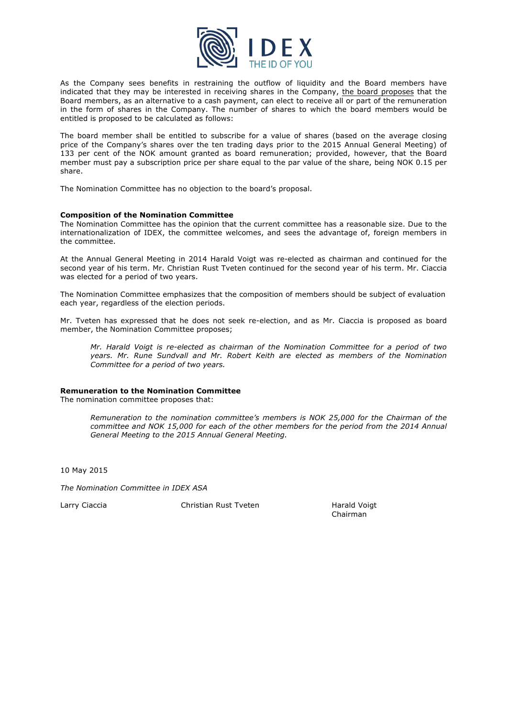

As the Company sees benefits in restraining the outflow of liquidity and the Board members have indicated that they may be interested in receiving shares in the Company, the board proposes that the Board members, as an alternative to a cash payment, can elect to receive all or part of the remuneration in the form of shares in the Company. The number of shares to which the board members would be entitled is proposed to be calculated as follows:

The board member shall be entitled to subscribe for a value of shares (based on the average closing price of the Company's shares over the ten trading days prior to the 2015 Annual General Meeting) of 133 per cent of the NOK amount granted as board remuneration; provided, however, that the Board member must pay a subscription price per share equal to the par value of the share, being NOK 0.15 per share.

The Nomination Committee has no objection to the board's proposal.

# **Composition of the Nomination Committee**

The Nomination Committee has the opinion that the current committee has a reasonable size. Due to the internationalization of IDEX, the committee welcomes, and sees the advantage of, foreign members in the committee.

At the Annual General Meeting in 2014 Harald Voigt was re-elected as chairman and continued for the second year of his term. Mr. Christian Rust Tveten continued for the second year of his term. Mr. Ciaccia was elected for a period of two years.

The Nomination Committee emphasizes that the composition of members should be subject of evaluation each year, regardless of the election periods.

Mr. Tveten has expressed that he does not seek re-election, and as Mr. Ciaccia is proposed as board member, the Nomination Committee proposes;

*Mr. Harald Voigt is re-elected as chairman of the Nomination Committee for a period of two years. Mr. Rune Sundvall and Mr. Robert Keith are elected as members of the Nomination Committee for a period of two years.*

# **Remuneration to the Nomination Committee**

The nomination committee proposes that:

*Remuneration to the nomination committee's members is NOK 25,000 for the Chairman of the committee and NOK 15,000 for each of the other members for the period from the 2014 Annual General Meeting to the 2015 Annual General Meeting.*

10 May 2015

*The Nomination Committee in IDEX ASA*

Larry Ciaccia Christian Rust Tveten Harald Voigt

Chairman